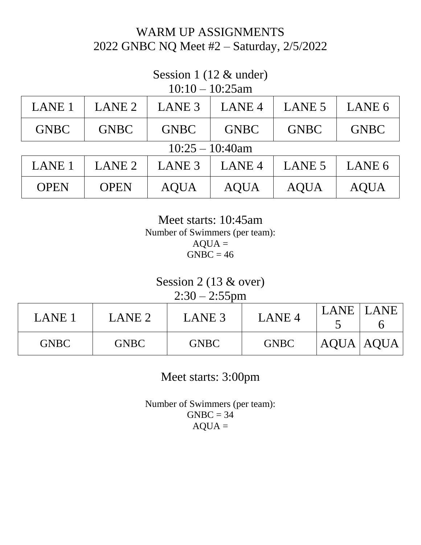# WARM UP ASSIGNMENTS 2022 GNBC NQ Meet #2 – Saturday, 2/5/2022

#### Session 1 (12 & under)  $10.10 - 10.25$ am

| $10:10 - 10:25$ am |                   |                   |                   |             |             |  |  |
|--------------------|-------------------|-------------------|-------------------|-------------|-------------|--|--|
| <b>LANE 1</b>      | LANE <sub>2</sub> | LANE <sub>3</sub> | LANE <sub>4</sub> | LANE 5      | LANE 6      |  |  |
| <b>GNBC</b>        | <b>GNBC</b>       | <b>GNBC</b>       | <b>GNBC</b>       | <b>GNBC</b> | <b>GNBC</b> |  |  |
| $10:25 - 10:40$ am |                   |                   |                   |             |             |  |  |
| <b>LANE 1</b>      | LANE <sub>2</sub> | LANE <sub>3</sub> | LANE <sub>4</sub> | LANE 5      | LANE 6      |  |  |
| <b>OPEN</b>        | <b>OPEN</b>       | <b>AQUA</b>       | <b>AQUA</b>       | <b>AQUA</b> | <b>AQUA</b> |  |  |

Meet starts: 10:45am Number of Swimmers (per team):  $AQUA =$  $GNBC = 46$ 

## Session 2 (13 & over)

2:30 – 2:55pm

| LANE 1      | LANE <sub>2</sub> | LANE <sub>3</sub> | LANE <sub>4</sub> | LANE        | LANE |
|-------------|-------------------|-------------------|-------------------|-------------|------|
| <b>GNBC</b> | <b>GNBC</b>       | <b>GNBC</b>       | <b>GNBC</b>       | AQUA   AQUA |      |

Meet starts: 3:00pm

Number of Swimmers (per team):  $GNBC = 34$  $AQUA =$